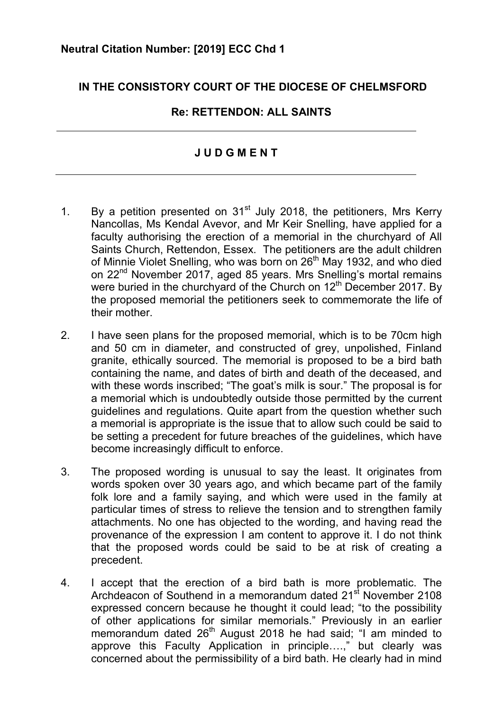## **IN THE CONSISTORY COURT OF THE DIOCESE OF CHELMSFORD**

## **Re: RETTENDON: ALL SAINTS**

## **J U D G M E N T**

- 1. By a petition presented on  $31<sup>st</sup>$  July 2018, the petitioners, Mrs Kerry Nancollas, Ms Kendal Avevor, and Mr Keir Snelling, have applied for a faculty authorising the erection of a memorial in the churchyard of All Saints Church, Rettendon, Essex. The petitioners are the adult children of Minnie Violet Snelling, who was born on 26<sup>th</sup> May 1932, and who died on 22<sup>nd</sup> November 2017, aged 85 years. Mrs Snelling's mortal remains were buried in the churchyard of the Church on 12<sup>th</sup> December 2017. By the proposed memorial the petitioners seek to commemorate the life of their mother.
- 2. I have seen plans for the proposed memorial, which is to be 70cm high and 50 cm in diameter, and constructed of grey, unpolished, Finland granite, ethically sourced. The memorial is proposed to be a bird bath containing the name, and dates of birth and death of the deceased, and with these words inscribed; "The goat's milk is sour." The proposal is for a memorial which is undoubtedly outside those permitted by the current guidelines and regulations. Quite apart from the question whether such a memorial is appropriate is the issue that to allow such could be said to be setting a precedent for future breaches of the guidelines, which have become increasingly difficult to enforce.
- 3. The proposed wording is unusual to say the least. It originates from words spoken over 30 years ago, and which became part of the family folk lore and a family saying, and which were used in the family at particular times of stress to relieve the tension and to strengthen family attachments. No one has objected to the wording, and having read the provenance of the expression I am content to approve it. I do not think that the proposed words could be said to be at risk of creating a precedent.
- 4. I accept that the erection of a bird bath is more problematic. The Archdeacon of Southend in a memorandum dated 21<sup>st</sup> November 2108 expressed concern because he thought it could lead; "to the possibility of other applications for similar memorials." Previously in an earlier memorandum dated 26<sup>th</sup> August 2018 he had said; "I am minded to approve this Faculty Application in principle….," but clearly was concerned about the permissibility of a bird bath. He clearly had in mind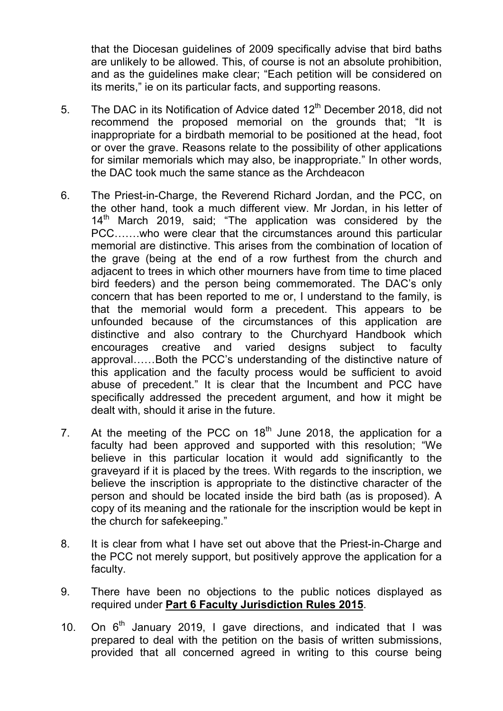that the Diocesan guidelines of 2009 specifically advise that bird baths are unlikely to be allowed. This, of course is not an absolute prohibition, and as the guidelines make clear; "Each petition will be considered on its merits," ie on its particular facts, and supporting reasons.

- 5. The DAC in its Notification of Advice dated 12<sup>th</sup> December 2018, did not recommend the proposed memorial on the grounds that; "It is inappropriate for a birdbath memorial to be positioned at the head, foot or over the grave. Reasons relate to the possibility of other applications for similar memorials which may also, be inappropriate." In other words, the DAC took much the same stance as the Archdeacon
- 6. The Priest-in-Charge, the Reverend Richard Jordan, and the PCC, on the other hand, took a much different view. Mr Jordan, in his letter of 14<sup>th</sup> March 2019, said; "The application was considered by the PCC…….who were clear that the circumstances around this particular memorial are distinctive. This arises from the combination of location of the grave (being at the end of a row furthest from the church and adjacent to trees in which other mourners have from time to time placed bird feeders) and the person being commemorated. The DAC's only concern that has been reported to me or, I understand to the family, is that the memorial would form a precedent. This appears to be unfounded because of the circumstances of this application are distinctive and also contrary to the Churchyard Handbook which encourages creative and varied designs subject to faculty approval……Both the PCC's understanding of the distinctive nature of this application and the faculty process would be sufficient to avoid abuse of precedent." It is clear that the Incumbent and PCC have specifically addressed the precedent argument, and how it might be dealt with, should it arise in the future.
- 7. At the meeting of the PCC on  $18<sup>th</sup>$  June 2018, the application for a faculty had been approved and supported with this resolution; "We believe in this particular location it would add significantly to the graveyard if it is placed by the trees. With regards to the inscription, we believe the inscription is appropriate to the distinctive character of the person and should be located inside the bird bath (as is proposed). A copy of its meaning and the rationale for the inscription would be kept in the church for safekeeping."
- 8. It is clear from what I have set out above that the Priest-in-Charge and the PCC not merely support, but positively approve the application for a faculty.
- 9. There have been no objections to the public notices displayed as required under **Part 6 Faculty Jurisdiction Rules 2015**.
- 10. On  $6<sup>th</sup>$  January 2019, I gave directions, and indicated that I was prepared to deal with the petition on the basis of written submissions, provided that all concerned agreed in writing to this course being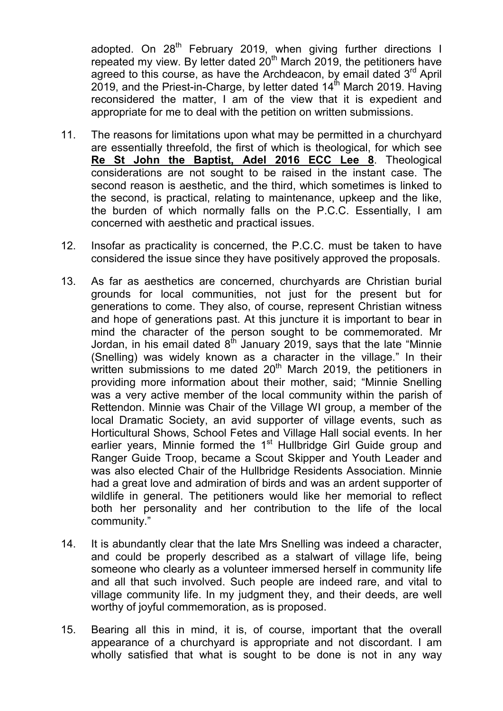adopted. On  $28<sup>th</sup>$  February 2019, when giving further directions I repeated my view. By letter dated 20<sup>th</sup> March 2019, the petitioners have agreed to this course, as have the Archdeacon, by email dated  $3<sup>rd</sup>$  April 2019, and the Priest-in-Charge, by letter dated  $14<sup>th</sup>$  March 2019. Having reconsidered the matter, I am of the view that it is expedient and appropriate for me to deal with the petition on written submissions.

- 11. The reasons for limitations upon what may be permitted in a churchyard are essentially threefold, the first of which is theological, for which see **Re St John the Baptist, Adel 2016 ECC Lee 8**. Theological considerations are not sought to be raised in the instant case. The second reason is aesthetic, and the third, which sometimes is linked to the second, is practical, relating to maintenance, upkeep and the like, the burden of which normally falls on the P.C.C. Essentially, I am concerned with aesthetic and practical issues.
- 12. Insofar as practicality is concerned, the P.C.C. must be taken to have considered the issue since they have positively approved the proposals.
- 13. As far as aesthetics are concerned, churchyards are Christian burial grounds for local communities, not just for the present but for generations to come. They also, of course, represent Christian witness and hope of generations past. At this juncture it is important to bear in mind the character of the person sought to be commemorated. Mr Jordan, in his email dated  $8^{th}$  January 2019, says that the late "Minnie (Snelling) was widely known as a character in the village." In their written submissions to me dated  $20<sup>th</sup>$  March 2019, the petitioners in providing more information about their mother, said; "Minnie Snelling was a very active member of the local community within the parish of Rettendon. Minnie was Chair of the Village WI group, a member of the local Dramatic Society, an avid supporter of village events, such as Horticultural Shows, School Fetes and Village Hall social events. In her earlier years, Minnie formed the 1<sup>st</sup> Hullbridge Girl Guide group and Ranger Guide Troop, became a Scout Skipper and Youth Leader and was also elected Chair of the Hullbridge Residents Association. Minnie had a great love and admiration of birds and was an ardent supporter of wildlife in general. The petitioners would like her memorial to reflect both her personality and her contribution to the life of the local community."
- 14. It is abundantly clear that the late Mrs Snelling was indeed a character, and could be properly described as a stalwart of village life, being someone who clearly as a volunteer immersed herself in community life and all that such involved. Such people are indeed rare, and vital to village community life. In my judgment they, and their deeds, are well worthy of joyful commemoration, as is proposed.
- 15. Bearing all this in mind, it is, of course, important that the overall appearance of a churchyard is appropriate and not discordant. I am wholly satisfied that what is sought to be done is not in any way